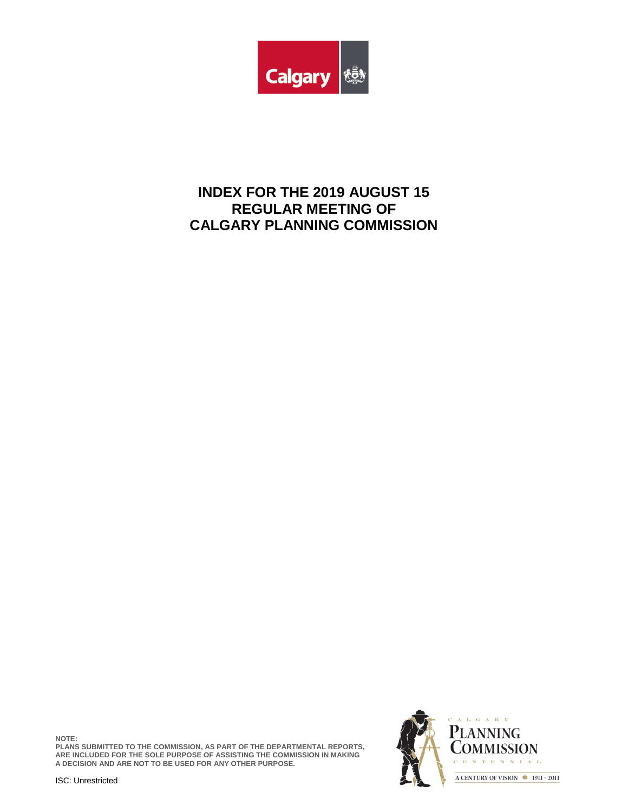

# **INDEX FOR THE 2019 AUGUST 15 REGULAR MEETING OF CALGARY PLANNING COMMISSION**

**NOTE: PLANS SUBMITTED TO THE COMMISSION, AS PART OF THE DEPARTMENTAL REPORTS, ARE INCLUDED FOR THE SOLE PURPOSE OF ASSISTING THE COMMISSION IN MAKING A DECISION AND ARE NOT TO BE USED FOR ANY OTHER PURPOSE.**



ISC: Unrestricted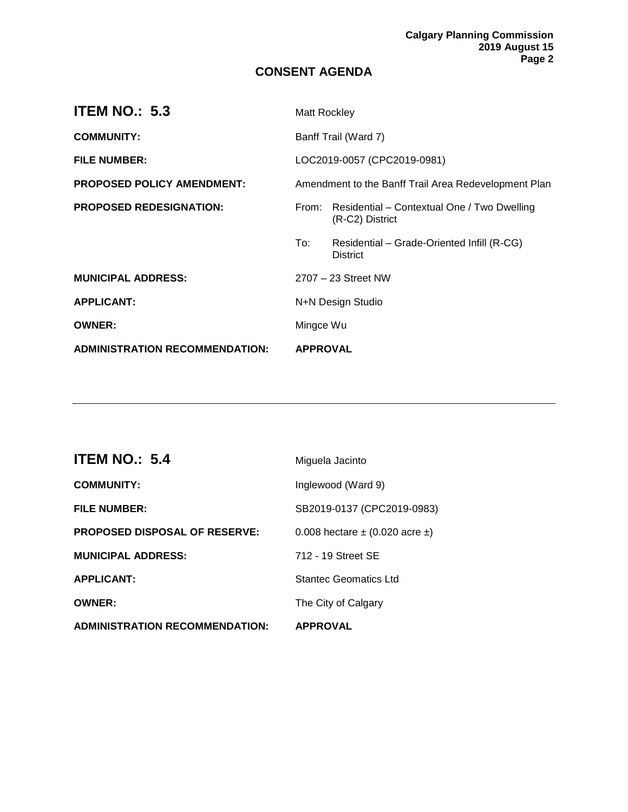### **CONSENT AGENDA**

| <b>ITEM NO.: 5.3</b>                  | Matt Rockley                                         |                                                                |
|---------------------------------------|------------------------------------------------------|----------------------------------------------------------------|
| <b>COMMUNITY:</b>                     | Banff Trail (Ward 7)                                 |                                                                |
| <b>FILE NUMBER:</b>                   | LOC2019-0057 (CPC2019-0981)                          |                                                                |
| PROPOSED POLICY AMENDMENT:            | Amendment to the Banff Trail Area Redevelopment Plan |                                                                |
| <b>PROPOSED REDESIGNATION:</b>        | From:                                                | Residential – Contextual One / Two Dwelling<br>(R-C2) District |
|                                       | To:                                                  | Residential - Grade-Oriented Infill (R-CG)<br><b>District</b>  |
| <b>MUNICIPAL ADDRESS:</b>             |                                                      | 2707 - 23 Street NW                                            |
| <b>APPLICANT:</b>                     | N+N Design Studio                                    |                                                                |
| <b>OWNER:</b>                         | Mingce Wu                                            |                                                                |
| <b>ADMINISTRATION RECOMMENDATION:</b> | <b>APPROVAL</b>                                      |                                                                |

| <b>ITEM NO.: 5.4</b>                  | Miguela Jacinto                         |
|---------------------------------------|-----------------------------------------|
| <b>COMMUNITY:</b>                     | Inglewood (Ward 9)                      |
| <b>FILE NUMBER:</b>                   | SB2019-0137 (CPC2019-0983)              |
| <b>PROPOSED DISPOSAL OF RESERVE:</b>  | 0.008 hectare $\pm$ (0.020 acre $\pm$ ) |
| <b>MUNICIPAL ADDRESS:</b>             | 712 - 19 Street SE                      |
| <b>APPLICANT:</b>                     | Stantec Geomatics Ltd                   |
| <b>OWNER:</b>                         | The City of Calgary                     |
| <b>ADMINISTRATION RECOMMENDATION:</b> | <b>APPROVAL</b>                         |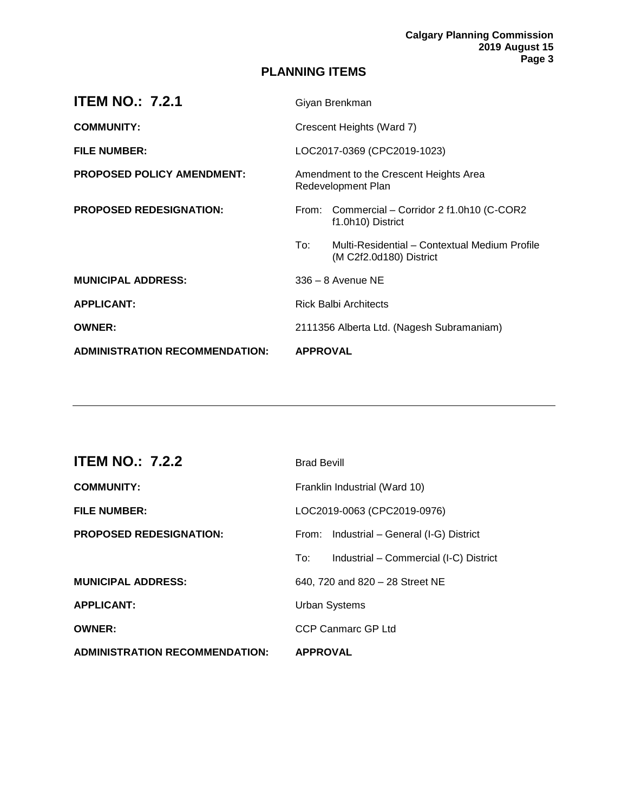## **PLANNING ITEMS**

| <b>ITEM NO.: 7.2.1</b>                | Giyan Brenkman                            |                                                                          |
|---------------------------------------|-------------------------------------------|--------------------------------------------------------------------------|
| <b>COMMUNITY:</b>                     | Crescent Heights (Ward 7)                 |                                                                          |
| <b>FILE NUMBER:</b>                   | LOC2017-0369 (CPC2019-1023)               |                                                                          |
| <b>PROPOSED POLICY AMENDMENT:</b>     |                                           | Amendment to the Crescent Heights Area<br>Redevelopment Plan             |
| <b>PROPOSED REDESIGNATION:</b>        |                                           | From: Commercial - Corridor 2 f1.0h10 (C-COR2<br>f1.0h10) District       |
|                                       | To:                                       | Multi-Residential - Contextual Medium Profile<br>(M C2f2.0d180) District |
| <b>MUNICIPAL ADDRESS:</b>             |                                           | $336 - 8$ Avenue NE                                                      |
| <b>APPLICANT:</b>                     |                                           | <b>Rick Balbi Architects</b>                                             |
| <b>OWNER:</b>                         | 2111356 Alberta Ltd. (Nagesh Subramaniam) |                                                                          |
| <b>ADMINISTRATION RECOMMENDATION:</b> | <b>APPROVAL</b>                           |                                                                          |

| <b>ITEM NO.: 7.2.2</b>                | <b>Brad Bevill</b>                            |
|---------------------------------------|-----------------------------------------------|
| <b>COMMUNITY:</b>                     | Franklin Industrial (Ward 10)                 |
| <b>FILE NUMBER:</b>                   | LOC2019-0063 (CPC2019-0976)                   |
| <b>PROPOSED REDESIGNATION:</b>        | From: Industrial - General (I-G) District     |
|                                       | Industrial – Commercial (I-C) District<br>To: |
| <b>MUNICIPAL ADDRESS:</b>             | 640, 720 and 820 - 28 Street NE               |
| <b>APPLICANT:</b>                     | <b>Urban Systems</b>                          |
| <b>OWNER:</b>                         | CCP Canmarc GP Ltd                            |
| <b>ADMINISTRATION RECOMMENDATION:</b> | <b>APPROVAL</b>                               |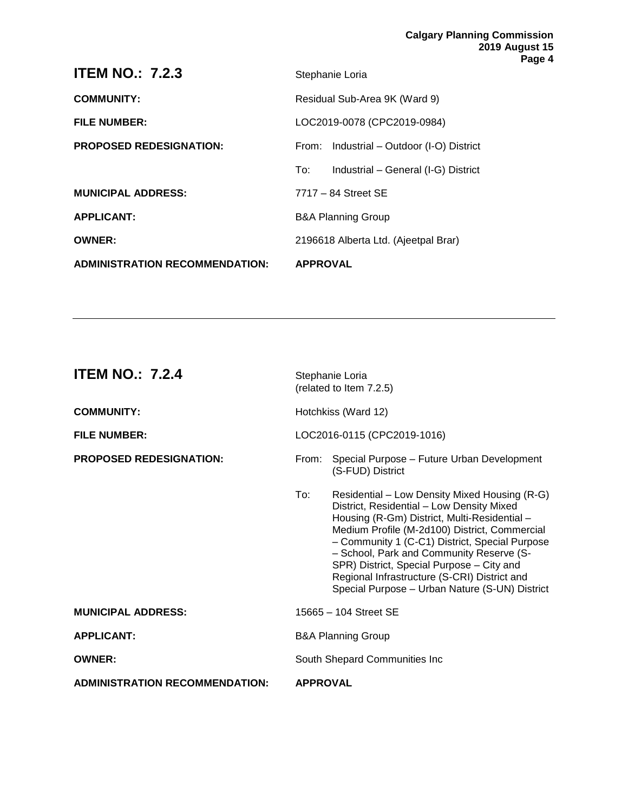| <b>ADMINISTRATION RECOMMENDATION:</b> | <b>APPROVAL</b>                            |
|---------------------------------------|--------------------------------------------|
| <b>OWNER:</b>                         | 2196618 Alberta Ltd. (Ajeetpal Brar)       |
| <b>APPLICANT:</b>                     | <b>B&amp;A Planning Group</b>              |
| <b>MUNICIPAL ADDRESS:</b>             | $7717 - 84$ Street SE                      |
|                                       | Industrial - General (I-G) District<br>To: |
| <b>PROPOSED REDESIGNATION:</b>        | From: Industrial – Outdoor (I-O) District  |
| <b>FILE NUMBER:</b>                   | LOC2019-0078 (CPC2019-0984)                |
| <b>COMMUNITY:</b>                     | Residual Sub-Area 9K (Ward 9)              |
| <b>ITEM NO.: 7.2.3</b>                | Stephanie Loria                            |

| <b>ITEM NO.: 7.2.4</b>                | Stephanie Loria<br>(related to Item 7.2.5) |                                                                                                                                                                                                                                                                                                                                                                                                                                          |
|---------------------------------------|--------------------------------------------|------------------------------------------------------------------------------------------------------------------------------------------------------------------------------------------------------------------------------------------------------------------------------------------------------------------------------------------------------------------------------------------------------------------------------------------|
| <b>COMMUNITY:</b>                     | Hotchkiss (Ward 12)                        |                                                                                                                                                                                                                                                                                                                                                                                                                                          |
| <b>FILE NUMBER:</b>                   | LOC2016-0115 (CPC2019-1016)                |                                                                                                                                                                                                                                                                                                                                                                                                                                          |
| <b>PROPOSED REDESIGNATION:</b>        |                                            | From: Special Purpose - Future Urban Development<br>(S-FUD) District                                                                                                                                                                                                                                                                                                                                                                     |
|                                       | To:                                        | Residential – Low Density Mixed Housing (R-G)<br>District, Residential - Low Density Mixed<br>Housing (R-Gm) District, Multi-Residential -<br>Medium Profile (M-2d100) District, Commercial<br>- Community 1 (C-C1) District, Special Purpose<br>- School, Park and Community Reserve (S-<br>SPR) District, Special Purpose - City and<br>Regional Infrastructure (S-CRI) District and<br>Special Purpose - Urban Nature (S-UN) District |
| <b>MUNICIPAL ADDRESS:</b>             |                                            | 15665 - 104 Street SE                                                                                                                                                                                                                                                                                                                                                                                                                    |
| <b>APPLICANT:</b>                     |                                            | <b>B&amp;A Planning Group</b>                                                                                                                                                                                                                                                                                                                                                                                                            |
| <b>OWNER:</b>                         | South Shepard Communities Inc              |                                                                                                                                                                                                                                                                                                                                                                                                                                          |
| <b>ADMINISTRATION RECOMMENDATION:</b> | <b>APPROVAL</b>                            |                                                                                                                                                                                                                                                                                                                                                                                                                                          |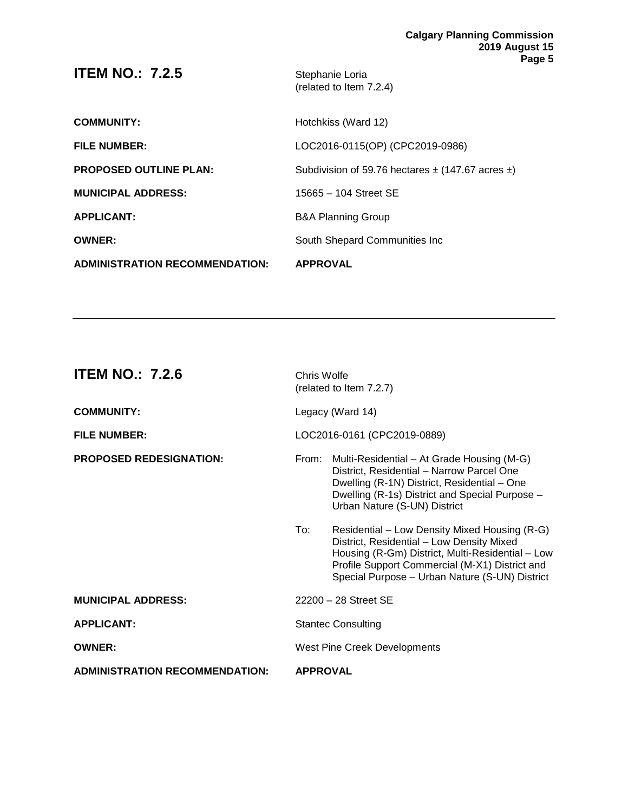| <b>ADMINISTRATION RECOMMENDATION:</b> | <b>APPROVAL</b>                                           |
|---------------------------------------|-----------------------------------------------------------|
| <b>OWNER:</b>                         | South Shepard Communities Inc.                            |
| <b>APPLICANT:</b>                     | <b>B&amp;A Planning Group</b>                             |
| <b>MUNICIPAL ADDRESS:</b>             | 15665 - 104 Street SE                                     |
| <b>PROPOSED OUTLINE PLAN:</b>         | Subdivision of 59.76 hectares $\pm$ (147.67 acres $\pm$ ) |
| <b>FILE NUMBER:</b>                   | LOC2016-0115(OP) (CPC2019-0986)                           |
| <b>COMMUNITY:</b>                     | Hotchkiss (Ward 12)                                       |
| <b>ITEM NO.: 7.2.5</b>                | Stephanie Loria<br>(related to Item 7.2.4)                |

| <b>ITEM NO.: 7.2.6</b>                | Chris Wolfe                         | (related to Item 7.2.7)                                                                                                                                                                                                                            |
|---------------------------------------|-------------------------------------|----------------------------------------------------------------------------------------------------------------------------------------------------------------------------------------------------------------------------------------------------|
| <b>COMMUNITY:</b>                     |                                     | Legacy (Ward 14)                                                                                                                                                                                                                                   |
| <b>FILE NUMBER:</b>                   |                                     | LOC2016-0161 (CPC2019-0889)                                                                                                                                                                                                                        |
| <b>PROPOSED REDESIGNATION:</b>        | From:                               | Multi-Residential – At Grade Housing (M-G)<br>District, Residential - Narrow Parcel One<br>Dwelling (R-1N) District, Residential - One<br>Dwelling (R-1s) District and Special Purpose -<br>Urban Nature (S-UN) District                           |
|                                       | To:                                 | Residential – Low Density Mixed Housing (R-G)<br>District, Residential - Low Density Mixed<br>Housing (R-Gm) District, Multi-Residential - Low<br>Profile Support Commercial (M-X1) District and<br>Special Purpose - Urban Nature (S-UN) District |
| <b>MUNICIPAL ADDRESS:</b>             |                                     | 22200 - 28 Street SE                                                                                                                                                                                                                               |
| <b>APPLICANT:</b>                     |                                     | <b>Stantec Consulting</b>                                                                                                                                                                                                                          |
| <b>OWNER:</b>                         | <b>West Pine Creek Developments</b> |                                                                                                                                                                                                                                                    |
| <b>ADMINISTRATION RECOMMENDATION:</b> | <b>APPROVAL</b>                     |                                                                                                                                                                                                                                                    |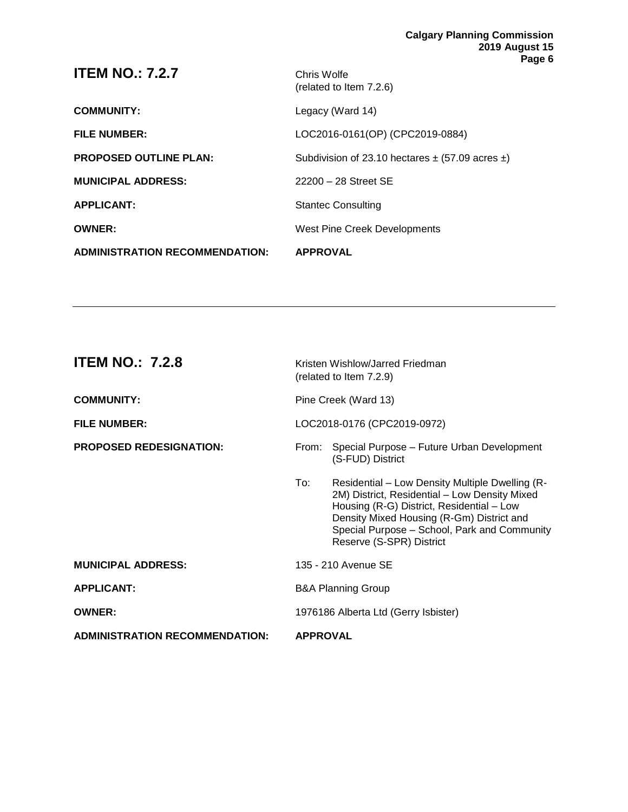| <b>ADMINISTRATION RECOMMENDATION:</b> | <b>APPROVAL</b>                                          |
|---------------------------------------|----------------------------------------------------------|
| <b>OWNER:</b>                         | West Pine Creek Developments                             |
| <b>APPLICANT:</b>                     | <b>Stantec Consulting</b>                                |
| <b>MUNICIPAL ADDRESS:</b>             | 22200 - 28 Street SE                                     |
| <b>PROPOSED OUTLINE PLAN:</b>         | Subdivision of 23.10 hectares $\pm$ (57.09 acres $\pm$ ) |
| <b>FILE NUMBER:</b>                   | LOC2016-0161(OP) (CPC2019-0884)                          |
| <b>COMMUNITY:</b>                     | Legacy (Ward 14)                                         |
| <b>ITEM NO.: 7.2.7</b>                | Chris Wolfe<br>(related to Item 7.2.6)                   |

| <b>ITEM NO.: 7.2.8</b>                | Kristen Wishlow/Jarred Friedman<br>(related to Item 7.2.9) |                                                                                                                                                                                                                                                                        |
|---------------------------------------|------------------------------------------------------------|------------------------------------------------------------------------------------------------------------------------------------------------------------------------------------------------------------------------------------------------------------------------|
| <b>COMMUNITY:</b>                     | Pine Creek (Ward 13)                                       |                                                                                                                                                                                                                                                                        |
| <b>FILE NUMBER:</b>                   | LOC2018-0176 (CPC2019-0972)                                |                                                                                                                                                                                                                                                                        |
| <b>PROPOSED REDESIGNATION:</b>        | From:                                                      | Special Purpose - Future Urban Development<br>(S-FUD) District                                                                                                                                                                                                         |
|                                       | To:                                                        | Residential - Low Density Multiple Dwelling (R-<br>2M) District, Residential - Low Density Mixed<br>Housing (R-G) District, Residential - Low<br>Density Mixed Housing (R-Gm) District and<br>Special Purpose - School, Park and Community<br>Reserve (S-SPR) District |
| <b>MUNICIPAL ADDRESS:</b>             |                                                            | 135 - 210 Avenue SE                                                                                                                                                                                                                                                    |
| <b>APPLICANT:</b>                     | <b>B&amp;A Planning Group</b>                              |                                                                                                                                                                                                                                                                        |
| <b>OWNER:</b>                         | 1976186 Alberta Ltd (Gerry Isbister)                       |                                                                                                                                                                                                                                                                        |
| <b>ADMINISTRATION RECOMMENDATION:</b> | <b>APPROVAL</b>                                            |                                                                                                                                                                                                                                                                        |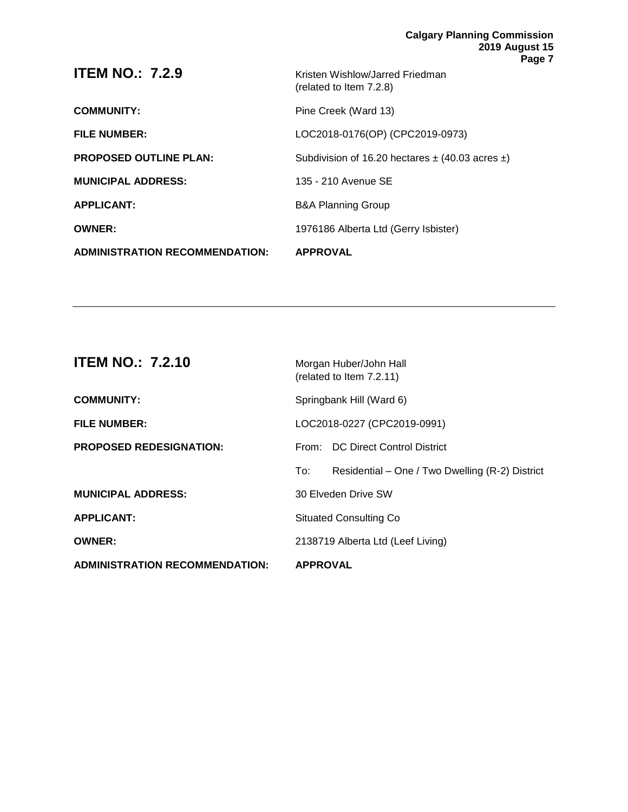| <b>ITEM NO.: 7.2.9</b>                | Kristen Wishlow/Jarred Friedman<br>(related to Item 7.2.8) |
|---------------------------------------|------------------------------------------------------------|
| <b>COMMUNITY:</b>                     | Pine Creek (Ward 13)                                       |
| <b>FILE NUMBER:</b>                   | LOC2018-0176(OP) (CPC2019-0973)                            |
| <b>PROPOSED OUTLINE PLAN:</b>         | Subdivision of 16.20 hectares $\pm$ (40.03 acres $\pm$ )   |
| <b>MUNICIPAL ADDRESS:</b>             | 135 - 210 Avenue SE                                        |
| <b>APPLICANT:</b>                     | <b>B&amp;A Planning Group</b>                              |
| <b>OWNER:</b>                         | 1976186 Alberta Ltd (Gerry Isbister)                       |
| <b>ADMINISTRATION RECOMMENDATION:</b> | <b>APPROVAL</b>                                            |

| <b>ITEM NO.: 7.2.10</b>               | Morgan Huber/John Hall<br>(related to Item 7.2.11)     |  |
|---------------------------------------|--------------------------------------------------------|--|
| <b>COMMUNITY:</b>                     | Springbank Hill (Ward 6)                               |  |
| <b>FILE NUMBER:</b>                   | LOC2018-0227 (CPC2019-0991)                            |  |
| <b>PROPOSED REDESIGNATION:</b>        | From: DC Direct Control District                       |  |
|                                       | Residential – One / Two Dwelling (R-2) District<br>To: |  |
| <b>MUNICIPAL ADDRESS:</b>             | 30 Elveden Drive SW                                    |  |
| <b>APPLICANT:</b>                     | <b>Situated Consulting Co</b>                          |  |
| <b>OWNER:</b>                         | 2138719 Alberta Ltd (Leef Living)                      |  |
| <b>ADMINISTRATION RECOMMENDATION:</b> | <b>APPROVAL</b>                                        |  |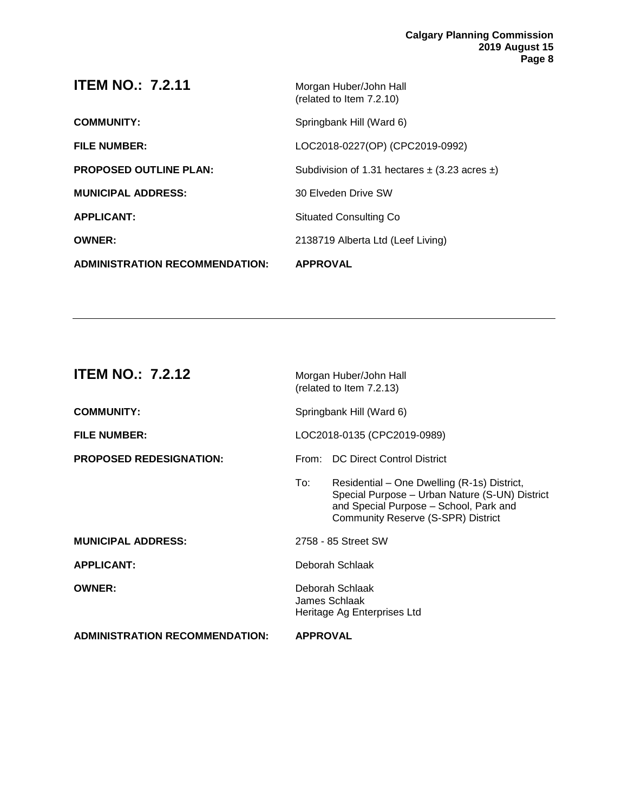| <b>ADMINISTRATION RECOMMENDATION:</b> | <b>APPROVAL</b>                                        |
|---------------------------------------|--------------------------------------------------------|
| <b>OWNER:</b>                         | 2138719 Alberta Ltd (Leef Living)                      |
| <b>APPLICANT:</b>                     | <b>Situated Consulting Co</b>                          |
| <b>MUNICIPAL ADDRESS:</b>             | 30 Elveden Drive SW                                    |
| <b>PROPOSED OUTLINE PLAN:</b>         | Subdivision of 1.31 hectares $\pm$ (3.23 acres $\pm$ ) |
| <b>FILE NUMBER:</b>                   | LOC2018-0227(OP) (CPC2019-0992)                        |
| <b>COMMUNITY:</b>                     | Springbank Hill (Ward 6)                               |
| <b>ITEM NO.: 7.2.11</b>               | Morgan Huber/John Hall<br>(related to Item 7.2.10)     |

| <b>ITEM NO.: 7.2.12</b>               |                                                                 | Morgan Huber/John Hall<br>(related to Item 7.2.13)                                                                                                                            |
|---------------------------------------|-----------------------------------------------------------------|-------------------------------------------------------------------------------------------------------------------------------------------------------------------------------|
| <b>COMMUNITY:</b>                     | Springbank Hill (Ward 6)                                        |                                                                                                                                                                               |
| <b>FILE NUMBER:</b>                   | LOC2018-0135 (CPC2019-0989)                                     |                                                                                                                                                                               |
| <b>PROPOSED REDESIGNATION:</b>        | From:                                                           | <b>DC Direct Control District</b>                                                                                                                                             |
|                                       | To:                                                             | Residential – One Dwelling (R-1s) District,<br>Special Purpose - Urban Nature (S-UN) District<br>and Special Purpose - School, Park and<br>Community Reserve (S-SPR) District |
| <b>MUNICIPAL ADDRESS:</b>             |                                                                 | 2758 - 85 Street SW                                                                                                                                                           |
| <b>APPLICANT:</b>                     |                                                                 | Deborah Schlaak                                                                                                                                                               |
| <b>OWNER:</b>                         | Deborah Schlaak<br>James Schlaak<br>Heritage Ag Enterprises Ltd |                                                                                                                                                                               |
| <b>ADMINISTRATION RECOMMENDATION:</b> | <b>APPROVAL</b>                                                 |                                                                                                                                                                               |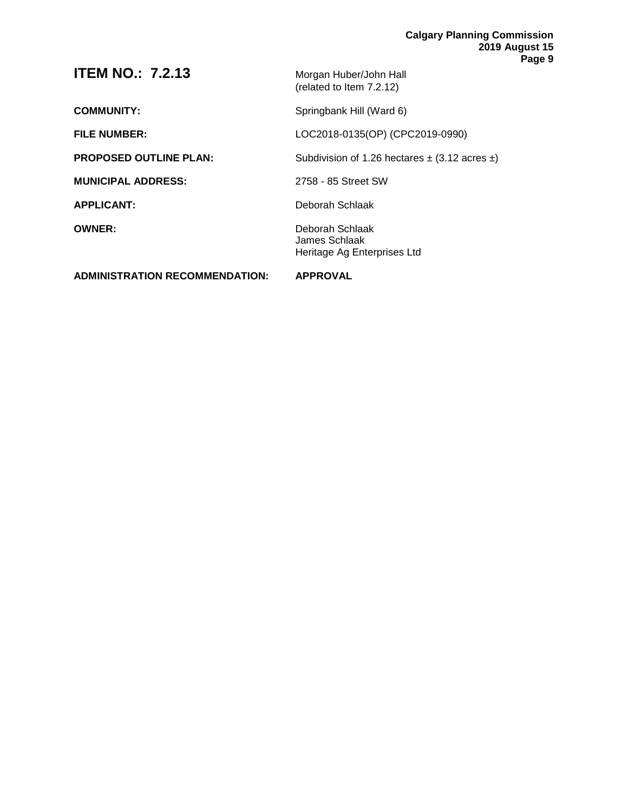| <b>ADMINISTRATION RECOMMENDATION:</b> | <b>APPROVAL</b>                                                 |
|---------------------------------------|-----------------------------------------------------------------|
| <b>OWNER:</b>                         | Deborah Schlaak<br>James Schlaak<br>Heritage Ag Enterprises Ltd |
| <b>APPLICANT:</b>                     | Deborah Schlaak                                                 |
| <b>MUNICIPAL ADDRESS:</b>             | 2758 - 85 Street SW                                             |
| <b>PROPOSED OUTLINE PLAN:</b>         | Subdivision of 1.26 hectares $\pm$ (3.12 acres $\pm$ )          |
| <b>FILE NUMBER:</b>                   | LOC2018-0135(OP) (CPC2019-0990)                                 |
| <b>COMMUNITY:</b>                     | Springbank Hill (Ward 6)                                        |
| <b>ITEM NO.: 7.2.13</b>               | Morgan Huber/John Hall<br>(related to Item 7.2.12)              |